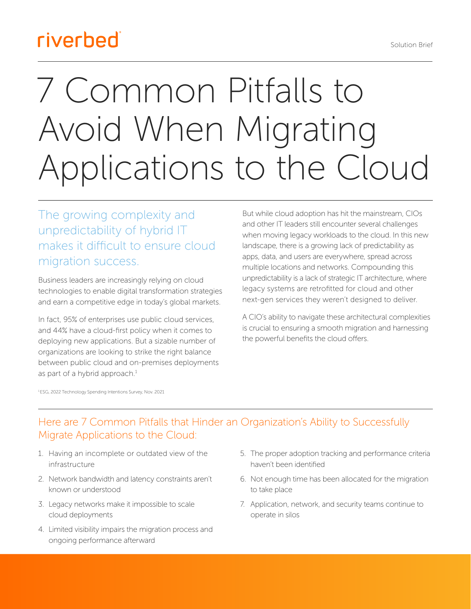## riverbed

# 7 Common Pitfalls to Avoid When Migrating Applications to the Cloud

The growing complexity and unpredictability of hybrid IT makes it difficult to ensure cloud migration success.

Business leaders are increasingly relying on cloud technologies to enable digital transformation strategies and earn a competitive edge in today's global markets.

In fact, 95% of enterprises use public cloud services, and 44% have a cloud-first policy when it comes to deploying new applications. But a sizable number of organizations are looking to strike the right balance between public cloud and on-premises deployments as part of a hybrid approach. $1$ 

But while cloud adoption has hit the mainstream, CIOs and other IT leaders still encounter several challenges when moving legacy workloads to the cloud. In this new landscape, there is a growing lack of predictability as apps, data, and users are everywhere, spread across multiple locations and networks. Compounding this unpredictability is a lack of strategic IT architecture, where legacy systems are retrofitted for cloud and other next-gen services they weren't designed to deliver.

A CIO's ability to navigate these architectural complexities is crucial to ensuring a smooth migration and harnessing the powerful benefits the cloud offers.

1 ESG, 2022 Technology Spending Intentions Survey, Nov. 2021

#### Here are 7 Common Pitfalls that Hinder an Organization's Ability to Successfully Migrate Applications to the Cloud:

- 1. Having an incomplete or outdated view of the infrastructure
- 2. Network bandwidth and latency constraints aren't known or understood
- 3. Legacy networks make it impossible to scale cloud deployments
- 4. Limited visibility impairs the migration process and ongoing performance afterward
- 5. The proper adoption tracking and performance criteria haven't been identified
- 6. Not enough time has been allocated for the migration to take place
- 7. Application, network, and security teams continue to operate in silos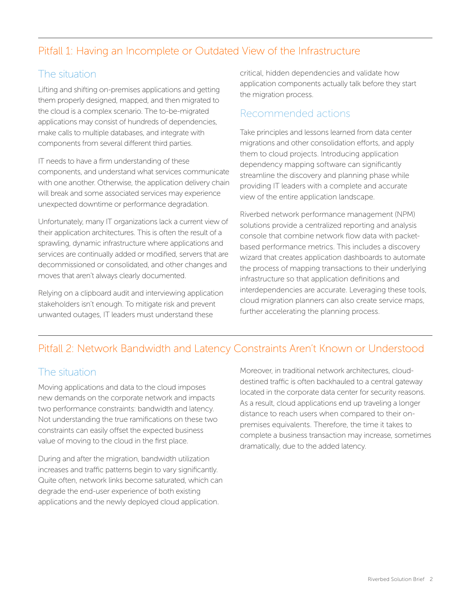#### Pitfall 1: Having an Incomplete or Outdated View of the Infrastructure

#### The situation

Lifting and shifting on-premises applications and getting them properly designed, mapped, and then migrated to the cloud is a complex scenario. The to-be-migrated applications may consist of hundreds of dependencies, make calls to multiple databases, and integrate with components from several different third parties.

IT needs to have a firm understanding of these components, and understand what services communicate with one another. Otherwise, the application delivery chain will break and some associated services may experience unexpected downtime or performance degradation.

Unfortunately, many IT organizations lack a current view of their application architectures. This is often the result of a sprawling, dynamic infrastructure where applications and services are continually added or modified, servers that are decommissioned or consolidated, and other changes and moves that aren't always clearly documented.

Relying on a clipboard audit and interviewing application stakeholders isn't enough. To mitigate risk and prevent unwanted outages, IT leaders must understand these

critical, hidden dependencies and validate how application components actually talk before they start the migration process.

#### Recommended actions

Take principles and lessons learned from data center migrations and other consolidation efforts, and apply them to cloud projects. Introducing application dependency mapping software can significantly streamline the discovery and planning phase while providing IT leaders with a complete and accurate view of the entire application landscape.

Riverbed network performance management (NPM) solutions provide a centralized reporting and analysis console that combine network flow data with packetbased performance metrics. This includes a discovery wizard that creates application dashboards to automate the process of mapping transactions to their underlying infrastructure so that application definitions and interdependencies are accurate. Leveraging these tools, cloud migration planners can also create service maps, further accelerating the planning process.

#### Pitfall 2: Network Bandwidth and Latency Constraints Aren't Known or Understood

#### The situation

Moving applications and data to the cloud imposes new demands on the corporate network and impacts two performance constraints: bandwidth and latency. Not understanding the true ramifications on these two constraints can easily offset the expected business value of moving to the cloud in the first place.

During and after the migration, bandwidth utilization increases and traffic patterns begin to vary significantly. Quite often, network links become saturated, which can degrade the end-user experience of both existing applications and the newly deployed cloud application.

Moreover, in traditional network architectures, clouddestined traffic is often backhauled to a central gateway located in the corporate data center for security reasons. As a result, cloud applications end up traveling a longer distance to reach users when compared to their onpremises equivalents. Therefore, the time it takes to complete a business transaction may increase, sometimes dramatically, due to the added latency.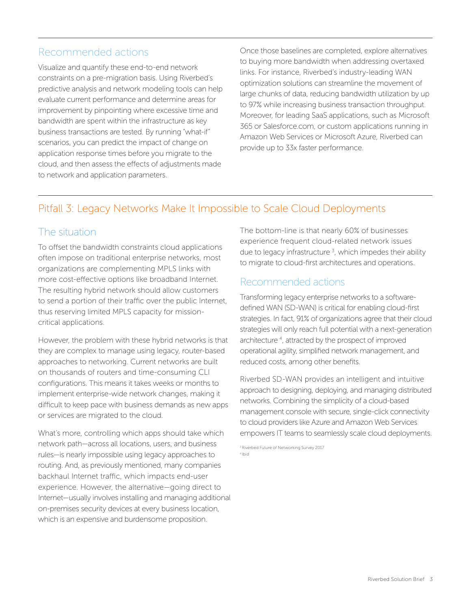#### Recommended actions

Visualize and quantify these end-to-end network constraints on a pre-migration basis. Using Riverbed's predictive analysis and network modeling tools can help evaluate current performance and determine areas for improvement by pinpointing where excessive time and bandwidth are spent within the infrastructure as key business transactions are tested. By running "what-if" scenarios, you can predict the impact of change on application response times before you migrate to the cloud, and then assess the effects of adjustments made to network and application parameters.

Once those baselines are completed, explore alternatives to buying more bandwidth when addressing overtaxed links. For instance, Riverbed's industry-leading WAN optimization solutions can streamline the movement of large chunks of data, reducing bandwidth utilization by up to 97% while increasing business transaction throughput. Moreover, for leading SaaS applications, such as Microsoft 365 or Salesforce.com, or custom applications running in Amazon Web Services or Microsoft Azure, Riverbed can provide up to 33x faster performance.

#### Pitfall 3: Legacy Networks Make It Impossible to Scale Cloud Deployments

#### The situation

To offset the bandwidth constraints cloud applications often impose on traditional enterprise networks, most organizations are complementing MPLS links with more cost-effective options like broadband Internet. The resulting hybrid network should allow customers to send a portion of their traffic over the public Internet, thus reserving limited MPLS capacity for missioncritical applications.

However, the problem with these hybrid networks is that they are complex to manage using legacy, router-based approaches to networking. Current networks are built on thousands of routers and time-consuming CLI configurations. This means it takes weeks or months to implement enterprise-wide network changes, making it difficult to keep pace with business demands as new apps or services are migrated to the cloud.

What's more, controlling which apps should take which network path—across all locations, users, and business rules—is nearly impossible using legacy approaches to routing. And, as previously mentioned, many companies backhaul Internet traffic, which impacts end-user experience. However, the alternative—going direct to Internet—usually involves installing and managing additional on-premises security devices at every business location, which is an expensive and burdensome proposition.

The bottom-line is that nearly 60% of businesses experience frequent cloud-related network issues due to legacy infrastructure  $3$ , which impedes their ability to migrate to cloud-first architectures and operations.

#### Recommended actions

Transforming legacy enterprise networks to a softwaredefined WAN (SD-WAN) is critical for enabling cloud-first strategies. In fact, 91% of organizations agree that their cloud strategies will only reach full potential with a next-generation architecture 4 , attracted by the prospect of improved operational agility, simplified network management, and reduced costs, among other benefits.

Riverbed SD-WAN provides an intelligent and intuitive approach to designing, deploying, and managing distributed networks. Combining the simplicity of a cloud-based management console with secure, single-click connectivity to cloud providers like Azure and Amazon Web Services empowers IT teams to seamlessly scale cloud deployments.

3 Riverbed Future of Networking Survey 2017 4 Ibid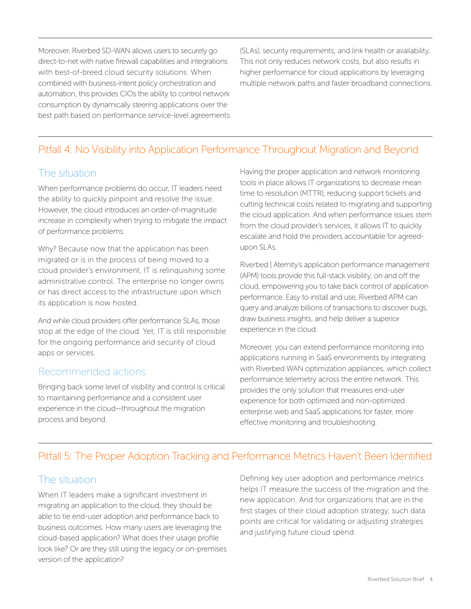Moreover, Riverbed SD-WAN allows users to securely go direct-to-net with native firewall capabilities and integrations with best-of-breed cloud security solutions. When combined with business-intent policy orchestration and automation, this provides CIOs the ability to control network consumption by dynamically steering applications over the best path based on performance service-level agreements (SLAs), security requirements, and link health or availability. This not only reduces network costs, but also results in higher performance for cloud applications by leveraging multiple network paths and faster broadband connections.

#### Pitfall 4: No Visibility into Application Performance Throughout Migration and Beyond

#### The situation

When performance problems do occur, IT leaders need the ability to quickly pinpoint and resolve the issue. However, the cloud introduces an order-of-magnitude increase in complexity when trying to mitigate the impact of performance problems.

Why? Because now that the application has been migrated or is in the process of being moved to a cloud provider's environment, IT is relinquishing some administrative control. The enterprise no longer owns or has direct access to the infrastructure upon which its application is now hosted.

And while cloud providers offer performance SLAs, those stop at the edge of the cloud. Yet, IT is still responsible for the ongoing performance and security of cloud apps or services.

#### Recommended actions

Bringing back some level of visibility and control is critical to maintaining performance and a consistent user experience in the cloud—throughout the migration process and beyond.

Having the proper application and network monitoring tools in place allows IT organizations to decrease mean time to resolution (MTTR), reducing support tickets and cutting technical costs related to migrating and supporting the cloud application. And when performance issues stem from the cloud provider's services, it allows IT to quickly escalate and hold the providers accountable for agreedupon SLAs.

Riverbed | Aternity's application performance management (APM) tools provide this full-stack visibility, on and off the cloud, empowering you to take back control of application performance. Easy to install and use, Riverbed APM can query and analyze billions of transactions to discover bugs, draw business insights, and help deliver a superior experience in the cloud.

Moreover, you can extend performance monitoring into applications running in SaaS environments by integrating with Riverbed WAN optimization appliances, which collect performance telemetry across the entire network. This provides the only solution that measures end-user experience for both optimized and non-optimized enterprise web and SaaS applications for faster, more effective monitoring and troubleshooting.

#### Pitfall 5: The Proper Adoption Tracking and Performance Metrics Haven't Been Identified

#### The situation

When IT leaders make a significant investment in migrating an application to the cloud, they should be able to tie end-user adoption and performance back to business outcomes. How many users are leveraging the cloud-based application? What does their usage profile look like? Or are they still using the legacy or on-premises version of the application?

Defining key user adoption and performance metrics helps IT measure the success of the migration and the new application. And for organizations that are in the first stages of their cloud adoption strategy, such data points are critical for validating or adjusting strategies and justifying future cloud spend.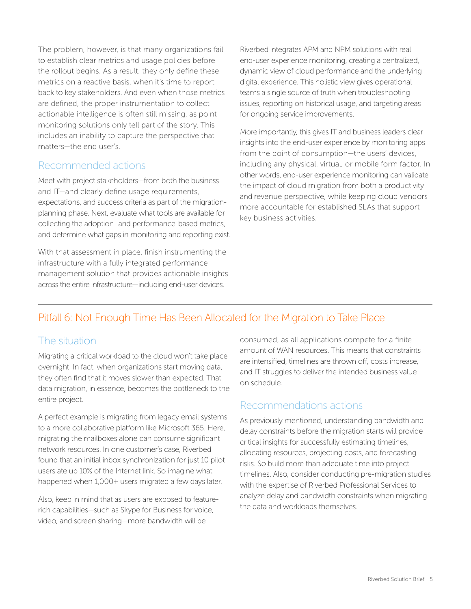The problem, however, is that many organizations fail to establish clear metrics and usage policies before the rollout begins. As a result, they only define these metrics on a reactive basis, when it's time to report back to key stakeholders. And even when those metrics are defined, the proper instrumentation to collect actionable intelligence is often still missing, as point monitoring solutions only tell part of the story. This includes an inability to capture the perspective that matters—the end user's.

#### Recommended actions

Meet with project stakeholders—from both the business and IT—and clearly define usage requirements, expectations, and success criteria as part of the migrationplanning phase. Next, evaluate what tools are available for collecting the adoption- and performance-based metrics, and determine what gaps in monitoring and reporting exist.

With that assessment in place, finish instrumenting the infrastructure with a fully integrated performance management solution that provides actionable insights across the entire infrastructure—including end-user devices.

Riverbed integrates APM and NPM solutions with real end-user experience monitoring, creating a centralized, dynamic view of cloud performance and the underlying digital experience. This holistic view gives operational teams a single source of truth when troubleshooting issues, reporting on historical usage, and targeting areas for ongoing service improvements.

More importantly, this gives IT and business leaders clear insights into the end-user experience by monitoring apps from the point of consumption—the users' devices, including any physical, virtual, or mobile form factor. In other words, end-user experience monitoring can validate the impact of cloud migration from both a productivity and revenue perspective, while keeping cloud vendors more accountable for established SLAs that support key business activities.

#### Pitfall 6: Not Enough Time Has Been Allocated for the Migration to Take Place

#### The situation

Migrating a critical workload to the cloud won't take place overnight. In fact, when organizations start moving data, they often find that it moves slower than expected. That data migration, in essence, becomes the bottleneck to the entire project.

A perfect example is migrating from legacy email systems to a more collaborative platform like Microsoft 365. Here, migrating the mailboxes alone can consume significant network resources. In one customer's case, Riverbed found that an initial inbox synchronization for just 10 pilot users ate up 10% of the Internet link. So imagine what happened when 1,000+ users migrated a few days later.

Also, keep in mind that as users are exposed to featurerich capabilities—such as Skype for Business for voice, video, and screen sharing—more bandwidth will be

consumed, as all applications compete for a finite amount of WAN resources. This means that constraints are intensified, timelines are thrown off, costs increase, and IT struggles to deliver the intended business value on schedule.

#### Recommendations actions

As previously mentioned, understanding bandwidth and delay constraints before the migration starts will provide critical insights for successfully estimating timelines, allocating resources, projecting costs, and forecasting risks. So build more than adequate time into project timelines. Also, consider conducting pre-migration studies with the expertise of Riverbed Professional Services to analyze delay and bandwidth constraints when migrating the data and workloads themselves.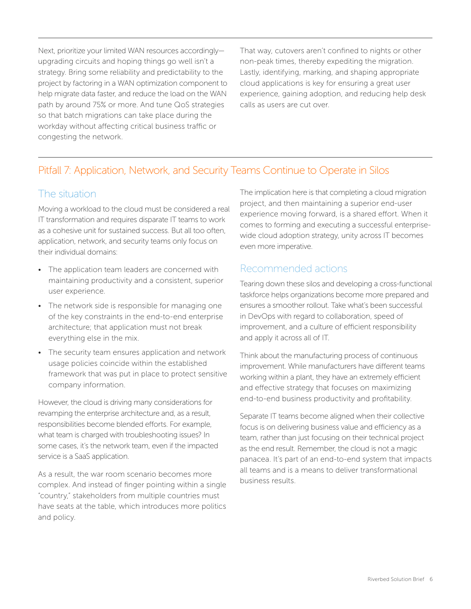Next, prioritize your limited WAN resources accordingly upgrading circuits and hoping things go well isn't a strategy. Bring some reliability and predictability to the project by factoring in a WAN optimization component to help migrate data faster, and reduce the load on the WAN path by around 75% or more. And tune QoS strategies so that batch migrations can take place during the workday without affecting critical business traffic or congesting the network.

That way, cutovers aren't confined to nights or other non-peak times, thereby expediting the migration. Lastly, identifying, marking, and shaping appropriate cloud applications is key for ensuring a great user experience, gaining adoption, and reducing help desk calls as users are cut over.

#### Pitfall 7: Application, Network, and Security Teams Continue to Operate in Silos

#### The situation

Moving a workload to the cloud must be considered a real IT transformation and requires disparate IT teams to work as a cohesive unit for sustained success. But all too often, application, network, and security teams only focus on their individual domains:

- The application team leaders are concerned with maintaining productivity and a consistent, superior user experience.
- The network side is responsible for managing one of the key constraints in the end-to-end enterprise architecture; that application must not break everything else in the mix.
- The security team ensures application and network usage policies coincide within the established framework that was put in place to protect sensitive company information.

However, the cloud is driving many considerations for revamping the enterprise architecture and, as a result, responsibilities become blended efforts. For example, what team is charged with troubleshooting issues? In some cases, it's the network team, even if the impacted service is a SaaS application.

As a result, the war room scenario becomes more complex. And instead of finger pointing within a single "country," stakeholders from multiple countries must have seats at the table, which introduces more politics and policy.

The implication here is that completing a cloud migration project, and then maintaining a superior end-user experience moving forward, is a shared effort. When it comes to forming and executing a successful enterprisewide cloud adoption strategy, unity across IT becomes even more imperative.

#### Recommended actions

Tearing down these silos and developing a cross-functional taskforce helps organizations become more prepared and ensures a smoother rollout. Take what's been successful in DevOps with regard to collaboration, speed of improvement, and a culture of efficient responsibility and apply it across all of IT.

Think about the manufacturing process of continuous improvement. While manufacturers have different teams working within a plant, they have an extremely efficient and effective strategy that focuses on maximizing end-to-end business productivity and profitability.

Separate IT teams become aligned when their collective focus is on delivering business value and efficiency as a team, rather than just focusing on their technical project as the end result. Remember, the cloud is not a magic panacea. It's part of an end-to-end system that impacts all teams and is a means to deliver transformational business results.